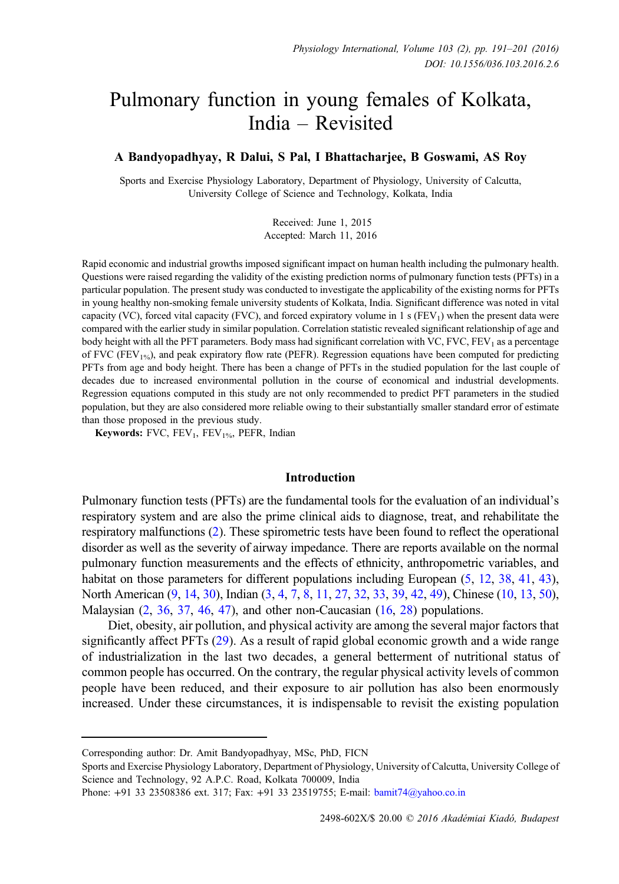# Pulmonary function in young females of Kolkata, India – Revisited

# A Bandyopadhyay, R Dalui, S Pal, I Bhattacharjee, B Goswami, AS Roy

Sports and Exercise Physiology Laboratory, Department of Physiology, University of Calcutta, University College of Science and Technology, Kolkata, India

> Received: June 1, 2015 Accepted: March 11, 2016

Rapid economic and industrial growths imposed significant impact on human health including the pulmonary health. Questions were raised regarding the validity of the existing prediction norms of pulmonary function tests (PFTs) in a particular population. The present study was conducted to investigate the applicability of the existing norms for PFTs in young healthy non-smoking female university students of Kolkata, India. Significant difference was noted in vital capacity (VC), forced vital capacity (FVC), and forced expiratory volume in 1 s (FEV<sub>1</sub>) when the present data were compared with the earlier study in similar population. Correlation statistic revealed significant relationship of age and body height with all the PFT parameters. Body mass had significant correlation with VC,  $FVC$ ,  $FEV<sub>1</sub>$  as a percentage of FVC (FEV<sub>1%</sub>), and peak expiratory flow rate (PEFR). Regression equations have been computed for predicting PFTs from age and body height. There has been a change of PFTs in the studied population for the last couple of decades due to increased environmental pollution in the course of economical and industrial developments. Regression equations computed in this study are not only recommended to predict PFT parameters in the studied population, but they are also considered more reliable owing to their substantially smaller standard error of estimate than those proposed in the previous study.

Keywords: FVC,  $FEV_1$ ,  $FEV_1$ %, PEFR, Indian

### Introduction

Pulmonary function tests (PFTs) are the fundamental tools for the evaluation of an individual's respiratory system and are also the prime clinical aids to diagnose, treat, and rehabilitate the respiratory malfunctions [\(2](#page-9-0)). These spirometric tests have been found to reflect the operational disorder as well as the severity of airway impedance. There are reports available on the normal pulmonary function measurements and the effects of ethnicity, anthropometric variables, and habitat on those parameters for different populations including European  $(5, 12, 38, 41, 43)$  $(5, 12, 38, 41, 43)$  $(5, 12, 38, 41, 43)$  $(5, 12, 38, 41, 43)$  $(5, 12, 38, 41, 43)$  $(5, 12, 38, 41, 43)$  $(5, 12, 38, 41, 43)$  $(5, 12, 38, 41, 43)$  $(5, 12, 38, 41, 43)$  $(5, 12, 38, 41, 43)$  $(5, 12, 38, 41, 43)$ , North American ([9,](#page-9-0) [14](#page-9-0), [30\)](#page-10-0), Indian [\(3](#page-9-0), [4,](#page-9-0) [7](#page-9-0), [8](#page-9-0), [11,](#page-9-0) [27](#page-10-0), [32](#page-10-0), [33,](#page-10-0) [39](#page-10-0), [42,](#page-10-0) [49\)](#page-10-0), Chinese [\(10](#page-9-0), [13,](#page-9-0) [50](#page-10-0)), Malaysian  $(2, 36, 37, 46, 47)$  $(2, 36, 37, 46, 47)$  $(2, 36, 37, 46, 47)$  $(2, 36, 37, 46, 47)$  $(2, 36, 37, 46, 47)$  $(2, 36, 37, 46, 47)$  $(2, 36, 37, 46, 47)$  $(2, 36, 37, 46, 47)$  $(2, 36, 37, 46, 47)$ , and other non-Caucasian  $(16, 28)$  $(16, 28)$  $(16, 28)$  populations.

Diet, obesity, air pollution, and physical activity are among the several major factors that significantly affect PFTs [\(29](#page-10-0)). As a result of rapid global economic growth and a wide range of industrialization in the last two decades, a general betterment of nutritional status of common people has occurred. On the contrary, the regular physical activity levels of common people have been reduced, and their exposure to air pollution has also been enormously increased. Under these circumstances, it is indispensable to revisit the existing population

Corresponding author: Dr. Amit Bandyopadhyay, MSc, PhD, FICN

Sports and Exercise Physiology Laboratory, Department of Physiology, University of Calcutta, University College of Science and Technology, 92 A.P.C. Road, Kolkata 700009, India

Phone: +91 33 23508386 ext. 317; Fax: +91 33 23519755; E-mail: [bamit74@yahoo.co.in](mailto:bamit74@yahoo.co.in)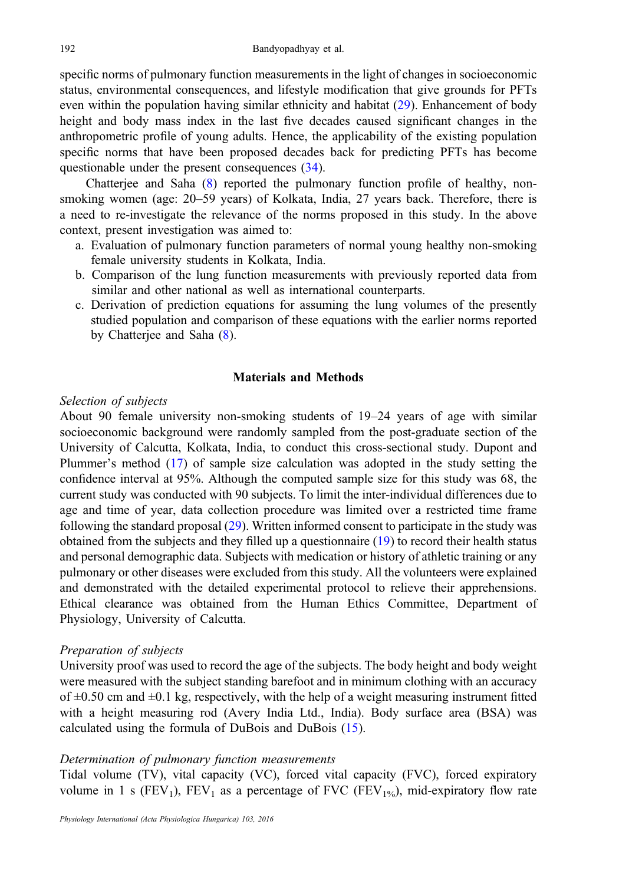specific norms of pulmonary function measurements in the light of changes in socioeconomic status, environmental consequences, and lifestyle modification that give grounds for PFTs even within the population having similar ethnicity and habitat ([29\)](#page-10-0). Enhancement of body height and body mass index in the last five decades caused significant changes in the anthropometric profile of young adults. Hence, the applicability of the existing population specific norms that have been proposed decades back for predicting PFTs has become questionable under the present consequences ([34\)](#page-10-0).

Chatterjee and Saha ([8\)](#page-9-0) reported the pulmonary function profile of healthy, nonsmoking women (age: 20–59 years) of Kolkata, India, 27 years back. Therefore, there is a need to re-investigate the relevance of the norms proposed in this study. In the above context, present investigation was aimed to:

- a. Evaluation of pulmonary function parameters of normal young healthy non-smoking female university students in Kolkata, India.
- b. Comparison of the lung function measurements with previously reported data from similar and other national as well as international counterparts.
- c. Derivation of prediction equations for assuming the lung volumes of the presently studied population and comparison of these equations with the earlier norms reported by Chatterjee and Saha [\(8](#page-9-0)).

## Materials and Methods

#### Selection of subjects

About 90 female university non-smoking students of 19–24 years of age with similar socioeconomic background were randomly sampled from the post-graduate section of the University of Calcutta, Kolkata, India, to conduct this cross-sectional study. Dupont and Plummer's method ([17\)](#page-9-0) of sample size calculation was adopted in the study setting the confidence interval at 95%. Although the computed sample size for this study was 68, the current study was conducted with 90 subjects. To limit the inter-individual differences due to age and time of year, data collection procedure was limited over a restricted time frame following the standard proposal ([29\)](#page-10-0). Written informed consent to participate in the study was obtained from the subjects and they filled up a questionnaire [\(19](#page-10-0)) to record their health status and personal demographic data. Subjects with medication or history of athletic training or any pulmonary or other diseases were excluded from this study. All the volunteers were explained and demonstrated with the detailed experimental protocol to relieve their apprehensions. Ethical clearance was obtained from the Human Ethics Committee, Department of Physiology, University of Calcutta.

#### Preparation of subjects

University proof was used to record the age of the subjects. The body height and body weight were measured with the subject standing barefoot and in minimum clothing with an accuracy of  $\pm 0.50$  cm and  $\pm 0.1$  kg, respectively, with the help of a weight measuring instrument fitted with a height measuring rod (Avery India Ltd., India). Body surface area (BSA) was calculated using the formula of DuBois and DuBois ([15\)](#page-9-0).

#### Determination of pulmonary function measurements

Tidal volume (TV), vital capacity (VC), forced vital capacity (FVC), forced expiratory volume in 1 s (FEV<sub>1</sub>), FEV<sub>1</sub> as a percentage of FVC (FEV<sub>1%</sub>), mid-expiratory flow rate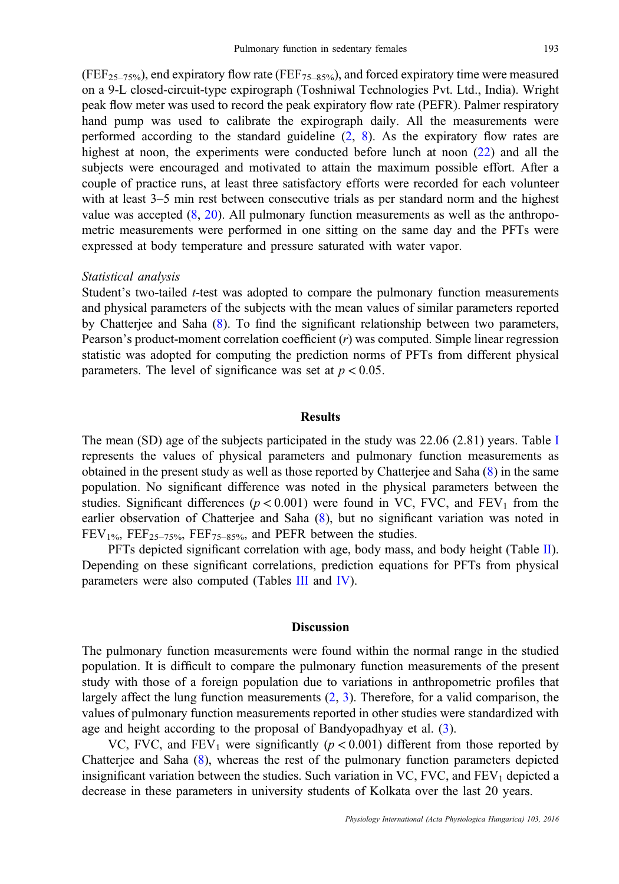(FEF<sub>25–75%</sub>), end expiratory flow rate (FEF<sub>75–85%</sub>), and forced expiratory time were measured on a 9-L closed-circuit-type expirograph (Toshniwal Technologies Pvt. Ltd., India). Wright peak flow meter was used to record the peak expiratory flow rate (PEFR). Palmer respiratory hand pump was used to calibrate the expirograph daily. All the measurements were performed according to the standard guideline ([2,](#page-9-0) [8](#page-9-0)). As the expiratory flow rates are highest at noon, the experiments were conducted before lunch at noon [\(22](#page-10-0)) and all the subjects were encouraged and motivated to attain the maximum possible effort. After a couple of practice runs, at least three satisfactory efforts were recorded for each volunteer with at least 3–5 min rest between consecutive trials as per standard norm and the highest value was accepted ([8,](#page-9-0) [20](#page-10-0)). All pulmonary function measurements as well as the anthropometric measurements were performed in one sitting on the same day and the PFTs were expressed at body temperature and pressure saturated with water vapor.

#### Statistical analysis

Student's two-tailed *t*-test was adopted to compare the pulmonary function measurements and physical parameters of the subjects with the mean values of similar parameters reported by Chatterjee and Saha ([8\)](#page-9-0). To find the significant relationship between two parameters, Pearson's product-moment correlation coefficient  $(r)$  was computed. Simple linear regression statistic was adopted for computing the prediction norms of PFTs from different physical parameters. The level of significance was set at  $p < 0.05$ .

#### Results

The mean (SD) age of the subjects participated in the study was 22.06 (2.81) years. Table [I](#page-3-0) represents the values of physical parameters and pulmonary function measurements as obtained in the present study as well as those reported by Chatterjee and Saha ([8\)](#page-9-0) in the same population. No significant difference was noted in the physical parameters between the studies. Significant differences ( $p < 0.001$ ) were found in VC, FVC, and FEV<sub>1</sub> from the earlier observation of Chatterjee and Saha [\(8](#page-9-0)), but no significant variation was noted in  $FEV<sub>1%</sub>,  $FEF<sub>25–75%</sub>,  $FEF<sub>75–85%</sub>$ , and  $PEFR$  between the studies.$$ 

PFTs depicted significant correlation with age, body mass, and body height (Table [II](#page-3-0)). Depending on these significant correlations, prediction equations for PFTs from physical parameters were also computed (Tables [III](#page-4-0) and [IV](#page-5-0)).

#### **Discussion**

The pulmonary function measurements were found within the normal range in the studied population. It is difficult to compare the pulmonary function measurements of the present study with those of a foreign population due to variations in anthropometric profiles that largely affect the lung function measurements [\(2](#page-9-0), [3\)](#page-9-0). Therefore, for a valid comparison, the values of pulmonary function measurements reported in other studies were standardized with age and height according to the proposal of Bandyopadhyay et al. ([3\)](#page-9-0).

VC, FVC, and FEV<sub>1</sub> were significantly ( $p < 0.001$ ) different from those reported by Chatterjee and Saha [\(8](#page-9-0)), whereas the rest of the pulmonary function parameters depicted insignificant variation between the studies. Such variation in VC, FVC, and  $FEV<sub>1</sub>$  depicted a decrease in these parameters in university students of Kolkata over the last 20 years.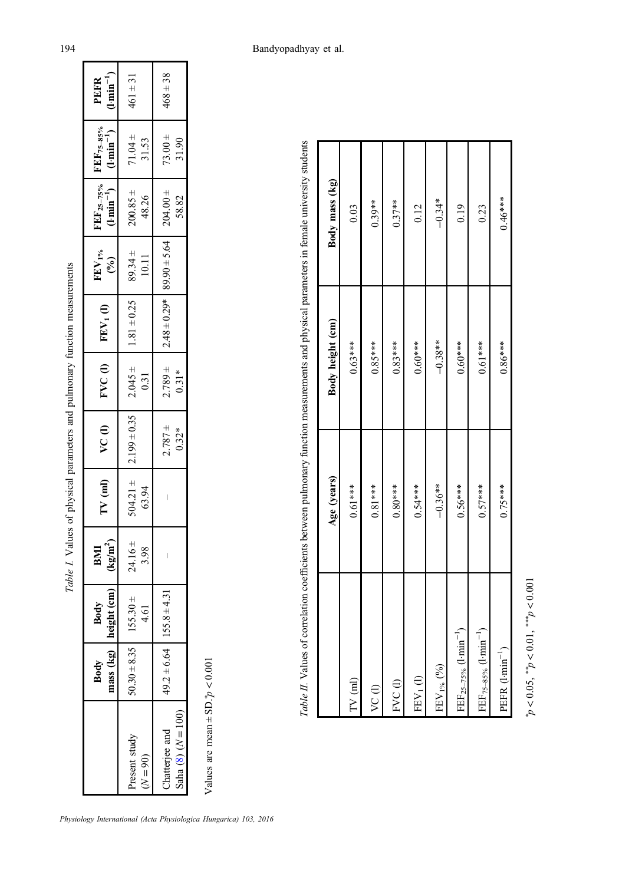<span id="page-3-0"></span>

|                                        |                   |                      |                             |                    | Table I. Values of physical parameters and pulmonary function measurements |                        |                 |                                                      |                                                                                                       |                      |                                           |
|----------------------------------------|-------------------|----------------------|-----------------------------|--------------------|----------------------------------------------------------------------------|------------------------|-----------------|------------------------------------------------------|-------------------------------------------------------------------------------------------------------|----------------------|-------------------------------------------|
|                                        | mass (kg)<br>Body | height (cm)<br>Body  | BMI<br>(kg/m <sup>2</sup> ) | $TV$ (ml)          | $\sqrt{2}$                                                                 | FVC(1)                 | $FEV1$ (l)      | $\frac{\mathrm{FFV}_{1\%}}{(\%)}$                    | $\frac{\text{FEF}_{25-75\%}}{\text{(t-min}^{-1})}$ $\frac{\text{FEF}_{75-85\%}}{\text{(t-min}^{-1})}$ |                      | $\frac{\text{PEFR}}{(\text{1-min}^{-1})}$ |
| Present study<br>$N = 90$              | $50.30 \pm 8.35$  | $155.30 \pm$<br>4.61 | $24.16 \pm$<br>3.98         | $504.21 \pm 63.94$ | $ 2.199 \pm 0.35 $                                                         | $2.045 \pm$<br>0.31    | $1.81 \pm 0.25$ | $89.34 \pm$<br>10.11                                 | $200.85 \pm$<br>48.26                                                                                 | $71.04 \pm$<br>31.53 | $461 \pm 31$                              |
| Chatterjee and<br>Saha $(8) (N = 100)$ | $149.2 \pm 6.0$   | $64$   155.8 ± 4.31  | I                           |                    | $2.787 +$<br>0.32*                                                         | $2.789 \pm$<br>$0.31*$ |                 | $2.48 \pm 0.29*$ 89.90 $\pm$ 5.64 $\pm$ 204.00 $\pm$ | 58.82                                                                                                 | $73.00 +$<br>31.90   | $468 \pm 38$                              |
|                                        |                   |                      |                             |                    |                                                                            |                        |                 |                                                      |                                                                                                       |                      |                                           |

Values are mean  $\pm$  SD.<sup>\*</sup> $p$  < 0.001 Values are mean  $\pm$  SD.\* $p < 0.001$ 

|                                        |             |                  | Table II. Values of correlation coefficients between pulmonary function measurements and physical parameters in female university students |
|----------------------------------------|-------------|------------------|--------------------------------------------------------------------------------------------------------------------------------------------|
|                                        | Age (years) | Body height (cm) | Body mass (kg)                                                                                                                             |
| $TV$ $(m)$                             | $0.61***$   | $0.63***$        | 0.03                                                                                                                                       |
| VC(I)                                  | $0.81***$   | $0.85***$        | $0.39**$                                                                                                                                   |
| FVC(I)                                 | $0.80***$   | $0.83***$        | $0.37**$                                                                                                                                   |
| $FEV1$ (l)                             | $0.54***$   | $0.60***$        | 0.12                                                                                                                                       |
| $FEV1%$ (%)                            | $-0.36**$   | $-0.38**$        | $-0.34*$                                                                                                                                   |
| $FEF_{25-75\%}$ (1-min <sup>-1</sup> ) | $0.56***$   | $0.60***$        | 0.19                                                                                                                                       |
| $FEF_{75-85\%}$ (1-min <sup>-1</sup> ) | $0.57***$   | $0.61***$        | 0.23                                                                                                                                       |
| PEFR $(1 \cdot \text{min}^{-1})$       | $0.75***$   | $0.86***$        | $0.46***$                                                                                                                                  |
|                                        |             |                  |                                                                                                                                            |

> $p < 0.05$ ,  ${}^{**}p < 0.01$ ,  ${}^{***}p < 0.001$  $p < 0.05$ ,  $* p < 0.01$ ,  $* \cdot k p < 0.001$

Г

Τ

Physiology International (Acta Physiologica Hungarica) 103, 2016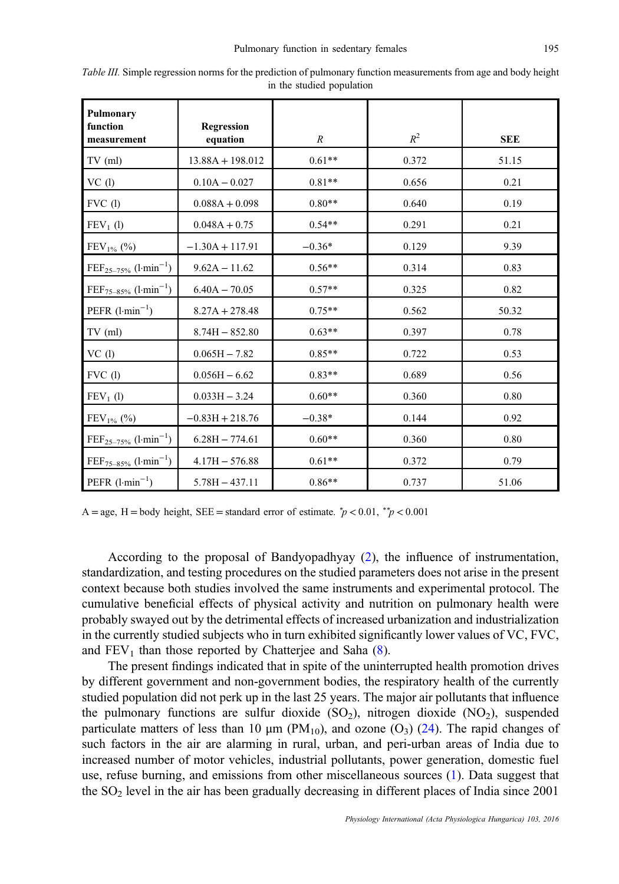| Pulmonary<br>function<br>measurement          | <b>Regression</b><br>equation | $\boldsymbol{R}$ | $R^2$ | <b>SEE</b> |
|-----------------------------------------------|-------------------------------|------------------|-------|------------|
| $TV$ (ml)                                     | $13.88A + 198.012$            | $0.61**$         | 0.372 | 51.15      |
| VC(1)                                         | $0.10A - 0.027$               | $0.81**$         | 0.656 | 0.21       |
| $FVC$ (l)                                     | $0.088A + 0.098$              | $0.80**$         | 0.640 | 0.19       |
| $FEV1$ (l)                                    | $0.048A + 0.75$               | $0.54**$         | 0.291 | 0.21       |
| $FEV_{1%}$ (%)                                | $-1.30A + 117.91$             | $-0.36*$         | 0.129 | 9.39       |
| $\text{FEF}_{25-75\%}$ (l·min <sup>-1</sup> ) | $9.62A - 11.62$               | $0.56**$         | 0.314 | 0.83       |
| $\text{FEF}_{75-85\%}$ (1-min <sup>-1</sup> ) | $6.40A - 70.05$               | $0.57**$         | 0.325 | 0.82       |
| PEFR $(l\cdot \text{min}^{-1})$               | $8.27A + 278.48$              | $0.75**$         | 0.562 | 50.32      |
| $TV$ (ml)                                     | $8.74H - 852.80$              | $0.63**$         | 0.397 | 0.78       |
| VC(1)                                         | $0.065H - 7.82$               | $0.85**$         | 0.722 | 0.53       |
| $FVC$ (l)                                     | $0.056H - 6.62$               | $0.83**$         | 0.689 | 0.56       |
| $FEV1$ (l)                                    | $0.033H - 3.24$               | $0.60**$         | 0.360 | 0.80       |
| $\text{FEV}_{1\%}$ (%)                        | $-0.83H + 218.76$             | $-0.38*$         | 0.144 | 0.92       |
| $\text{FEF}_{25-75\%}$ (l·min <sup>-1</sup> ) | $6.28H - 774.61$              | $0.60**$         | 0.360 | 0.80       |
| $FEF_{75-85\%}$ (l·min <sup>-1</sup> )        | $4.17H - 576.88$              | $0.61**$         | 0.372 | 0.79       |
| PEFR $(l·min^{-1})$                           | $5.78H - 437.11$              | $0.86**$         | 0.737 | 51.06      |

<span id="page-4-0"></span>Table III. Simple regression norms for the prediction of pulmonary function measurements from age and body height in the studied population

A = age, H = body height, SEE = standard error of estimate.  $\gamma p < 0.01$ ,  $\gamma p < 0.001$ 

According to the proposal of Bandyopadhyay ([2\)](#page-9-0), the influence of instrumentation, standardization, and testing procedures on the studied parameters does not arise in the present context because both studies involved the same instruments and experimental protocol. The cumulative beneficial effects of physical activity and nutrition on pulmonary health were probably swayed out by the detrimental effects of increased urbanization and industrialization in the currently studied subjects who in turn exhibited significantly lower values of VC, FVC, and  $FEV<sub>1</sub>$  than those reported by Chatterjee and Saha  $(8)$  $(8)$ .

The present findings indicated that in spite of the uninterrupted health promotion drives by different government and non-government bodies, the respiratory health of the currently studied population did not perk up in the last 25 years. The major air pollutants that influence the pulmonary functions are sulfur dioxide  $(SO<sub>2</sub>)$ , nitrogen dioxide  $(NO<sub>2</sub>)$ , suspended particulate matters of less than 10  $\mu$ m (PM<sub>10</sub>), and ozone (O<sub>3</sub>) [\(24](#page-10-0)). The rapid changes of such factors in the air are alarming in rural, urban, and peri-urban areas of India due to increased number of motor vehicles, industrial pollutants, power generation, domestic fuel use, refuse burning, and emissions from other miscellaneous sources ([1\)](#page-9-0). Data suggest that the  $SO<sub>2</sub>$  level in the air has been gradually decreasing in different places of India since 2001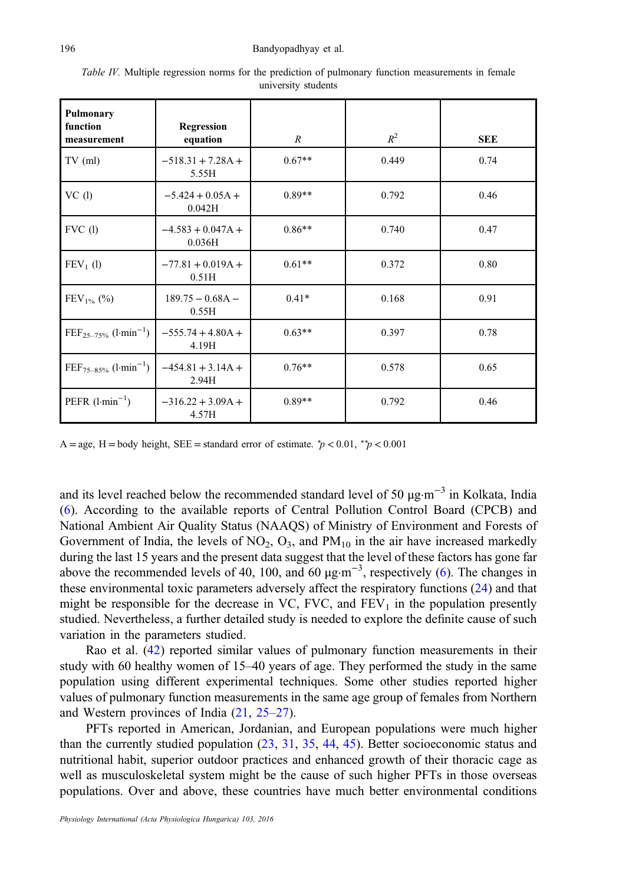| Pulmonary<br>function<br>measurement          | Regression<br>equation        | $\mathcal{R}$ | $R^2$ | <b>SEE</b> |
|-----------------------------------------------|-------------------------------|---------------|-------|------------|
| $TV$ (ml)                                     | $-518.31 + 7.28A +$<br>5.55H  | $0.67**$      | 0.449 | 0.74       |
| VC(1)                                         | $-5.424 + 0.05A +$<br>0.042H  | $0.89**$      | 0.792 | 0.46       |
| $FVC$ (1)                                     | $-4.583 + 0.047A +$<br>0.036H | $0.86**$      | 0.740 | 0.47       |
| $FEV_1$ (1)                                   | $-77.81 + 0.019A +$<br>0.51H  | $0.61**$      | 0.372 | 0.80       |
| $FEV_{1%}$ (%)                                | $189.75 - 0.68A -$<br>0.55H   | $0.41*$       | 0.168 | 0.91       |
| $\text{FEF}_{25-75\%}$ (1-min <sup>-1</sup> ) | $-555.74 + 4.80A +$<br>4.19H  | $0.63**$      | 0.397 | 0.78       |
| $\text{FEF}_{75-85\%}$ (1-min <sup>-1</sup> ) | $-454.81 + 3.14A +$<br>2.94H  | $0.76**$      | 0.578 | 0.65       |
| PEFR $(l·min^{-1})$                           | $-316.22 + 3.09A +$<br>4.57H  | $0.89**$      | 0.792 | 0.46       |

<span id="page-5-0"></span>Table IV. Multiple regression norms for the prediction of pulmonary function measurements in female university students

A = age, H = body height, SEE = standard error of estimate.  $\gamma p < 0.01$ ,  $\gamma p < 0.001$ 

and its level reached below the recommended standard level of 50 μg·m<sup>−3</sup> in Kolkata. India [\(6](#page-9-0)). According to the available reports of Central Pollution Control Board (CPCB) and National Ambient Air Quality Status (NAAQS) of Ministry of Environment and Forests of Government of India, the levels of NO<sub>2</sub>, O<sub>3</sub>, and  $PM_{10}$  in the air have increased markedly during the last 15 years and the present data suggest that the level of these factors has gone far above the recommended levels of 40, 100, and 60  $\mu$ g·m<sup>-3</sup>, respectively [\(6](#page-9-0)). The changes in these environmental toxic parameters adversely affect the respiratory functions [\(24](#page-10-0)) and that might be responsible for the decrease in VC, FVC, and  $FEV<sub>1</sub>$  in the population presently studied. Nevertheless, a further detailed study is needed to explore the definite cause of such variation in the parameters studied.

Rao et al. [\(42](#page-10-0)) reported similar values of pulmonary function measurements in their study with 60 healthy women of 15–40 years of age. They performed the study in the same population using different experimental techniques. Some other studies reported higher values of pulmonary function measurements in the same age group of females from Northern and Western provinces of India [\(21](#page-10-0), [25](#page-10-0)–27).

PFTs reported in American, Jordanian, and European populations were much higher than the currently studied population [\(23](#page-10-0), [31,](#page-10-0) [35,](#page-10-0) [44](#page-10-0), [45\)](#page-10-0). Better socioeconomic status and nutritional habit, superior outdoor practices and enhanced growth of their thoracic cage as well as musculoskeletal system might be the cause of such higher PFTs in those overseas populations. Over and above, these countries have much better environmental conditions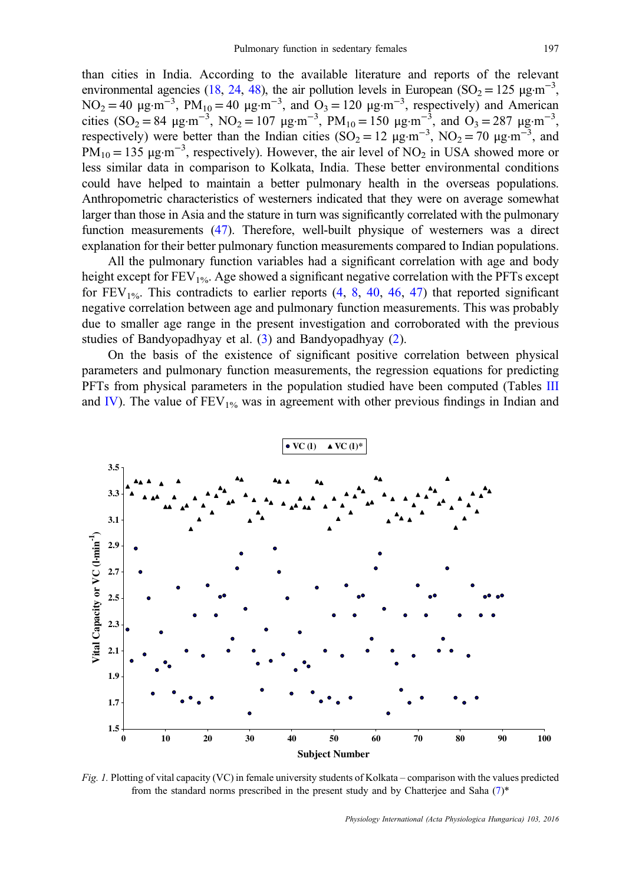<span id="page-6-0"></span>than cities in India. According to the available literature and reports of the relevant environmental agencies [\(18,](#page-9-0) [24](#page-10-0), [48\)](#page-10-0), the air pollution levels in European (SO<sub>2</sub> = 125 µg·m<sup>-3</sup>, NO<sub>2</sub> = 40  $\mu$ g·m<sup>-3</sup>, PM<sub>10</sub> = 40  $\mu$ g·m<sup>-3</sup>, and O<sub>3</sub> = 120  $\mu$ g·m<sup>-3</sup>, respectively) and American cities (SO<sub>2</sub> = 84 µg·m<sup>-3</sup>, NO<sub>2</sub> = 107 µg·m<sup>-3</sup>, PM<sub>10</sub> = 150 µg·m<sup>-3</sup>, and O<sub>3</sub> = 287 µg·m<sup>-3</sup>, respectively) were better than the Indian cities (SO<sub>2</sub> = 12  $\mu$ g·m<sup>-3</sup>, NO<sub>2</sub> = 70  $\mu$ g·m<sup>-3</sup>, and  $PM_{10} = 135 \mu g \cdot m^{-3}$ , respectively). However, the air level of NO<sub>2</sub> in USA showed more or less similar data in comparison to Kolkata, India. These better environmental conditions could have helped to maintain a better pulmonary health in the overseas populations. Anthropometric characteristics of westerners indicated that they were on average somewhat larger than those in Asia and the stature in turn was significantly correlated with the pulmonary function measurements [\(47](#page-10-0)). Therefore, well-built physique of westerners was a direct explanation for their better pulmonary function measurements compared to Indian populations.

All the pulmonary function variables had a significant correlation with age and body height except for  $FEV_{1%}$ . Age showed a significant negative correlation with the PFTs except for  $FEV_{1\%}$ . This contradicts to earlier reports ([4,](#page-9-0) [8](#page-9-0), [40](#page-10-0), [46,](#page-10-0) [47](#page-10-0)) that reported significant negative correlation between age and pulmonary function measurements. This was probably due to smaller age range in the present investigation and corroborated with the previous studies of Bandyopadhyay et al. [\(3](#page-9-0)) and Bandyopadhyay [\(2](#page-9-0)).

On the basis of the existence of significant positive correlation between physical parameters and pulmonary function measurements, the regression equations for predicting PFTs from physical parameters in the population studied have been computed (Tables [III](#page-4-0) and [IV\)](#page-5-0). The value of  $FEV_{1%}$  was in agreement with other previous findings in Indian and



Fig. 1. Plotting of vital capacity (VC) in female university students of Kolkata – comparison with the values predicted from the standard norms prescribed in the present study and by Chatterjee and Saha  $(7)^*$  $(7)^*$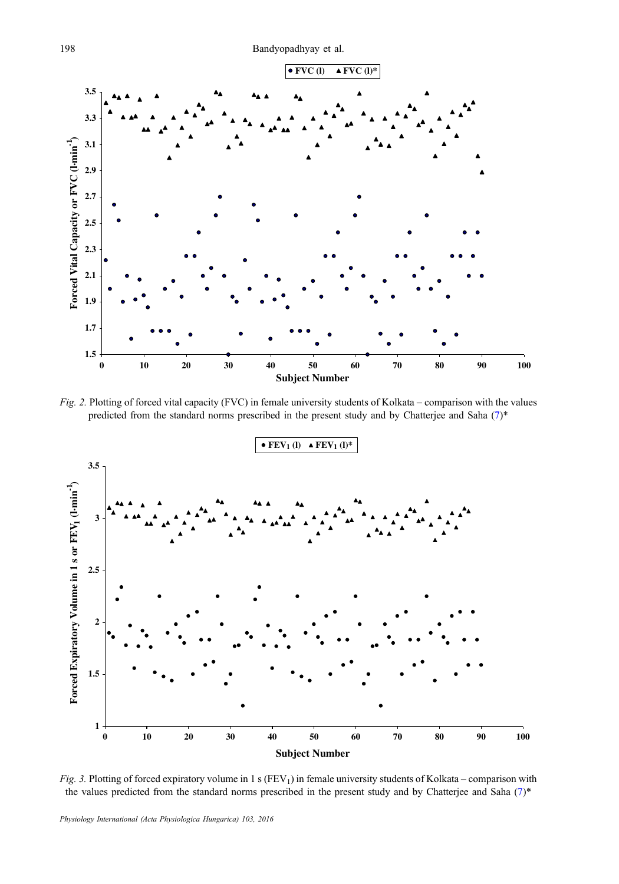

Fig. 2. Plotting of forced vital capacity (FVC) in female university students of Kolkata – comparison with the values predicted from the standard norms prescribed in the present study and by Chatterjee and Saha [\(7](#page-9-0))\*



Fig. 3. Plotting of forced expiratory volume in 1 s ( $FEV<sub>1</sub>$ ) in female university students of Kolkata – comparison with the values predicted from the standard norms prescribed in the present study and by Chatterjee and Saha [\(7](#page-9-0))\*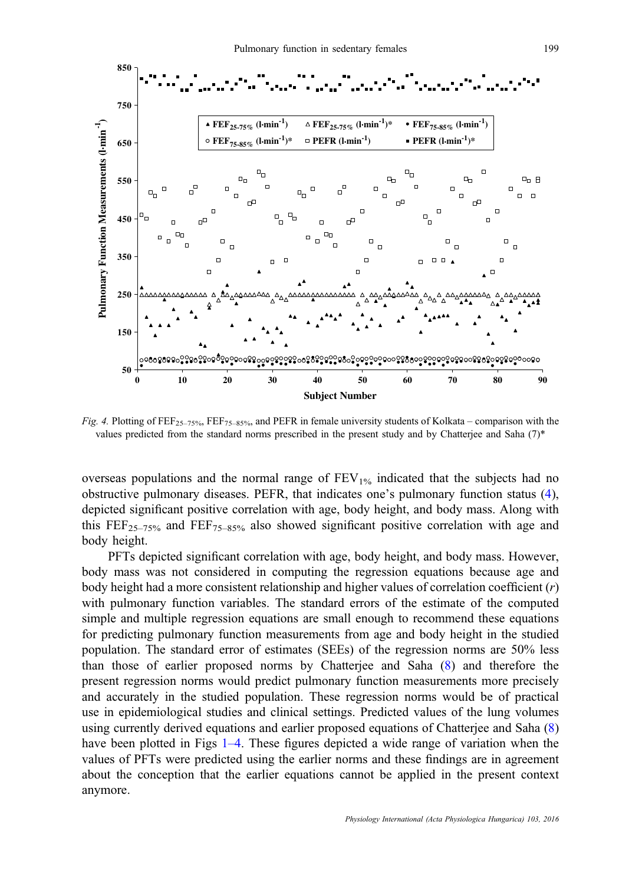

Fig. 4. Plotting of  $FEF_{25-75\%}$ ,  $FEF_{75-85\%}$ , and PEFR in female university students of Kolkata – comparison with the values predicted from the standard norms prescribed in the present study and by Chatterjee and Saha (7)\*

overseas populations and the normal range of  $FEV_{1%}$  indicated that the subjects had no obstructive pulmonary diseases. PEFR, that indicates one's pulmonary function status [\(4](#page-9-0)), depicted significant positive correlation with age, body height, and body mass. Along with this  $\text{FEF}_{25-75\%}$  and  $\text{FEF}_{75-85\%}$  also showed significant positive correlation with age and body height.

PFTs depicted significant correlation with age, body height, and body mass. However, body mass was not considered in computing the regression equations because age and body height had a more consistent relationship and higher values of correlation coefficient  $(r)$ with pulmonary function variables. The standard errors of the estimate of the computed simple and multiple regression equations are small enough to recommend these equations for predicting pulmonary function measurements from age and body height in the studied population. The standard error of estimates (SEEs) of the regression norms are 50% less than those of earlier proposed norms by Chatterjee and Saha [\(8](#page-9-0)) and therefore the present regression norms would predict pulmonary function measurements more precisely and accurately in the studied population. These regression norms would be of practical use in epidemiological studies and clinical settings. Predicted values of the lung volumes using currently derived equations and earlier proposed equations of Chatterjee and Saha ([8\)](#page-9-0) have been plotted in Figs [1](#page-6-0)–4. These figures depicted a wide range of variation when the values of PFTs were predicted using the earlier norms and these findings are in agreement about the conception that the earlier equations cannot be applied in the present context anymore.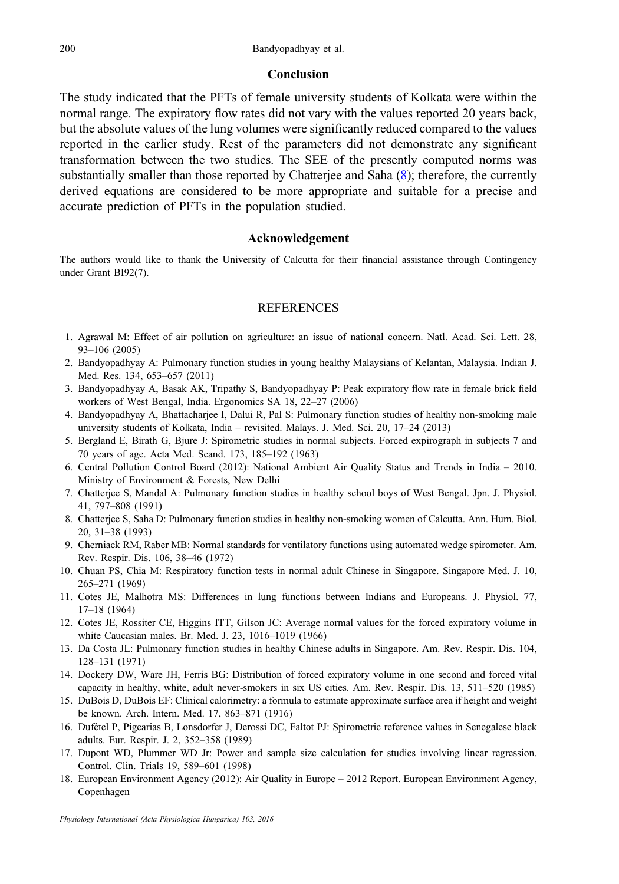## Conclusion

<span id="page-9-0"></span>The study indicated that the PFTs of female university students of Kolkata were within the normal range. The expiratory flow rates did not vary with the values reported 20 years back, but the absolute values of the lung volumes were significantly reduced compared to the values reported in the earlier study. Rest of the parameters did not demonstrate any significant transformation between the two studies. The SEE of the presently computed norms was substantially smaller than those reported by Chatterjee and Saha (8); therefore, the currently derived equations are considered to be more appropriate and suitable for a precise and accurate prediction of PFTs in the population studied.

## Acknowledgement

The authors would like to thank the University of Calcutta for their financial assistance through Contingency under Grant BI92(7).

# **REFERENCES**

- 1. Agrawal M: Effect of air pollution on agriculture: an issue of national concern. Natl. Acad. Sci. Lett. 28, 93–106 (2005)
- 2. Bandyopadhyay A: Pulmonary function studies in young healthy Malaysians of Kelantan, Malaysia. Indian J. Med. Res. 134, 653–657 (2011)
- 3. Bandyopadhyay A, Basak AK, Tripathy S, Bandyopadhyay P: Peak expiratory flow rate in female brick field workers of West Bengal, India. Ergonomics SA 18, 22–27 (2006)
- 4. Bandyopadhyay A, Bhattacharjee I, Dalui R, Pal S: Pulmonary function studies of healthy non-smoking male university students of Kolkata, India – revisited. Malays. J. Med. Sci. 20, 17–24 (2013)
- 5. Bergland E, Birath G, Bjure J: Spirometric studies in normal subjects. Forced expirograph in subjects 7 and 70 years of age. Acta Med. Scand. 173, 185–192 (1963)
- 6. Central Pollution Control Board (2012): National Ambient Air Quality Status and Trends in India 2010. Ministry of Environment & Forests, New Delhi
- 7. Chatterjee S, Mandal A: Pulmonary function studies in healthy school boys of West Bengal. Jpn. J. Physiol. 41, 797–808 (1991)
- 8. Chatterjee S, Saha D: Pulmonary function studies in healthy non-smoking women of Calcutta. Ann. Hum. Biol. 20, 31–38 (1993)
- 9. Cherniack RM, Raber MB: Normal standards for ventilatory functions using automated wedge spirometer. Am. Rev. Respir. Dis. 106, 38–46 (1972)
- 10. Chuan PS, Chia M: Respiratory function tests in normal adult Chinese in Singapore. Singapore Med. J. 10, 265–271 (1969)
- 11. Cotes JE, Malhotra MS: Differences in lung functions between Indians and Europeans. J. Physiol. 77, 17–18 (1964)
- 12. Cotes JE, Rossiter CE, Higgins ITT, Gilson JC: Average normal values for the forced expiratory volume in white Caucasian males. Br. Med. J. 23, 1016–1019 (1966)
- 13. Da Costa JL: Pulmonary function studies in healthy Chinese adults in Singapore. Am. Rev. Respir. Dis. 104, 128–131 (1971)
- 14. Dockery DW, Ware JH, Ferris BG: Distribution of forced expiratory volume in one second and forced vital capacity in healthy, white, adult never-smokers in six US cities. Am. Rev. Respir. Dis. 13, 511–520 (1985)
- 15. DuBois D, DuBois EF: Clinical calorimetry: a formula to estimate approximate surface area if height and weight be known. Arch. Intern. Med. 17, 863–871 (1916)
- 16. Dufétel P, Pigearias B, Lonsdorfer J, Derossi DC, Faltot PJ: Spirometric reference values in Senegalese black adults. Eur. Respir. J. 2, 352–358 (1989)
- 17. Dupont WD, Plummer WD Jr: Power and sample size calculation for studies involving linear regression. Control. Clin. Trials 19, 589–601 (1998)
- 18. European Environment Agency (2012): Air Quality in Europe 2012 Report. European Environment Agency, Copenhagen